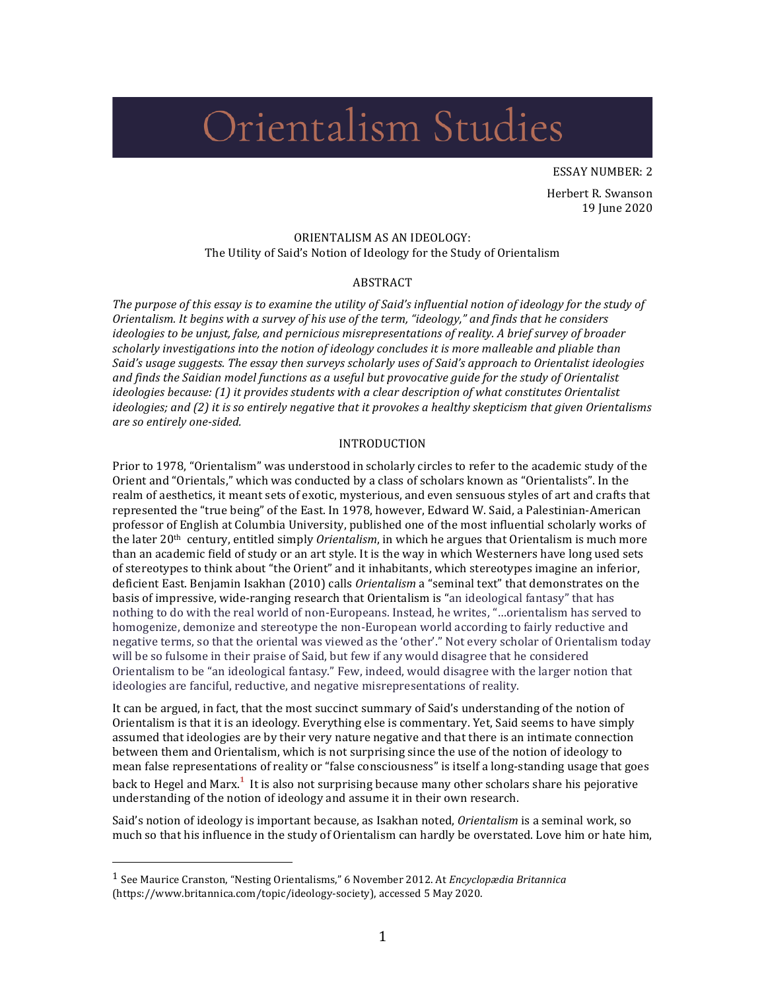# Orientalism Studies

ESSAY NUMBER: 2

Herbert R. Swanson 19 June 2020

#### ORIENTALISM AS AN IDEOLOGY: The Utility of Said's Notion of Ideology for the Study of Orientalism

### ABSTRACT

The purpose of this essay is to examine the utility of Said's influential notion of ideology for the study of *Orientalism.* It begins with a survey of his use of the term, "ideology," and finds that he considers *ideologies to be unjust, false, and pernicious misrepresentations of reality. A brief survey of broader* scholarly investigations into the notion of ideology concludes it is more malleable and pliable than Said's usage suggests. The essay then surveys scholarly uses of Said's approach to Orientalist ideologies and finds the Saidian model functions as a useful but provocative guide for the study of Orientalist *ideologies because:* (1) it provides students with a clear description of what constitutes Orientalist *ideologies;* and (2) it is so entirely negative that it provokes a healthy skepticism that given Orientalisms *are so entirely one-sided.*

### INTRODUCTION

Prior to 1978, "Orientalism" was understood in scholarly circles to refer to the academic study of the Orient and "Orientals," which was conducted by a class of scholars known as "Orientalists". In the realm of aesthetics, it meant sets of exotic, mysterious, and even sensuous styles of art and crafts that represented the "true being" of the East. In 1978, however, Edward W. Said, a Palestinian-American professor of English at Columbia University, published one of the most influential scholarly works of the later 20<sup>th</sup> century, entitled simply *Orientalism*, in which he argues that Orientalism is much more than an academic field of study or an art style. It is the way in which Westerners have long used sets of stereotypes to think about "the Orient" and it inhabitants, which stereotypes imagine an inferior, deficient East. Benjamin Isakhan (2010) calls *Orientalism* a "seminal text" that demonstrates on the basis of impressive, wide-ranging research that Orientalism is "an ideological fantasy" that has nothing to do with the real world of non-Europeans. Instead, he writes, "...orientalism has served to homogenize, demonize and stereotype the non-European world according to fairly reductive and negative terms, so that the oriental was viewed as the 'other'." Not every scholar of Orientalism today will be so fulsome in their praise of Said, but few if any would disagree that he considered Orientalism to be "an ideological fantasy." Few, indeed, would disagree with the larger notion that ideologies are fanciful, reductive, and negative misrepresentations of reality.

It can be argued, in fact, that the most succinct summary of Said's understanding of the notion of Orientalism is that it is an ideology. Everything else is commentary. Yet, Said seems to have simply assumed that ideologies are by their very nature negative and that there is an intimate connection between them and Orientalism, which is not surprising since the use of the notion of ideology to mean false representations of reality or "false consciousness" is itself a long-standing usage that goes back to Hegel and Marx.<sup>1</sup> It is also not surprising because many other scholars share his pejorative understanding of the notion of ideology and assume it in their own research.

Said's notion of ideology is important because, as Isakhan noted, *Orientalism* is a seminal work, so much so that his influence in the study of Orientalism can hardly be overstated. Love him or hate him,

<sup>&</sup>lt;sup>1</sup> See Maurice Cranston, "Nesting Orientalisms," 6 November 2012. At *Encyclopædia Britannica* (https://www.britannica.com/topic/ideology-society), accessed 5 May 2020.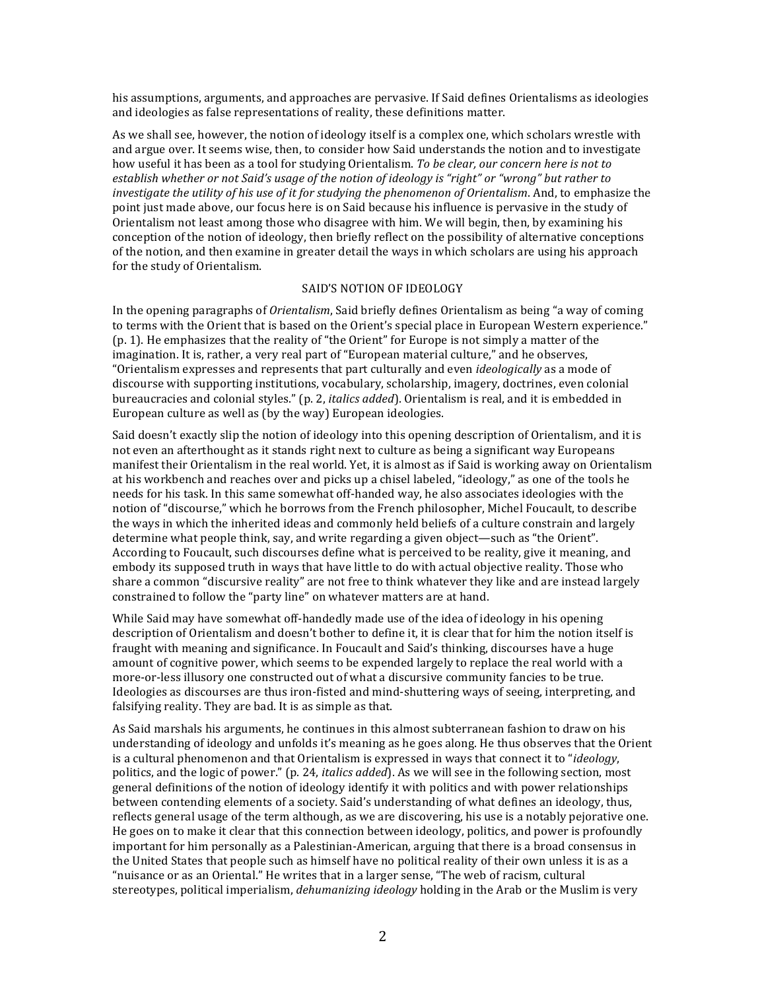his assumptions, arguments, and approaches are pervasive. If Said defines Orientalisms as ideologies and ideologies as false representations of reality, these definitions matter.

As we shall see, however, the notion of ideology itself is a complex one, which scholars wrestle with and argue over. It seems wise, then, to consider how Said understands the notion and to investigate how useful it has been as a tool for studying Orientalism. To be clear, our concern here is not to establish whether or not Said's usage of the notion of ideology is "right" or "wrong" but rather to *investigate the utility of his use of it for studying the phenomenon of Orientalism*. And, to emphasize the point just made above, our focus here is on Said because his influence is pervasive in the study of Orientalism not least among those who disagree with him. We will begin, then, by examining his conception of the notion of ideology, then briefly reflect on the possibility of alternative conceptions of the notion, and then examine in greater detail the ways in which scholars are using his approach for the study of Orientalism.

### SAID'S NOTION OF IDEOLOGY

In the opening paragraphs of *Orientalism*, Said briefly defines Orientalism as being "a way of coming to terms with the Orient that is based on the Orient's special place in European Western experience." (p. 1). He emphasizes that the reality of "the Orient" for Europe is not simply a matter of the imagination. It is, rather, a very real part of "European material culture," and he observes, "Orientalism expresses and represents that part culturally and even *ideologically* as a mode of discourse with supporting institutions, vocabulary, scholarship, imagery, doctrines, even colonial bureaucracies and colonial styles." (p. 2, *italics added*). Orientalism is real, and it is embedded in European culture as well as (by the way) European ideologies.

Said doesn't exactly slip the notion of ideology into this opening description of Orientalism, and it is not even an afterthought as it stands right next to culture as being a significant way Europeans manifest their Orientalism in the real world. Yet, it is almost as if Said is working away on Orientalism at his workbench and reaches over and picks up a chisel labeled, "ideology," as one of the tools he needs for his task. In this same somewhat off-handed way, he also associates ideologies with the notion of "discourse," which he borrows from the French philosopher, Michel Foucault, to describe the ways in which the inherited ideas and commonly held beliefs of a culture constrain and largely determine what people think, say, and write regarding a given object—such as "the Orient". According to Foucault, such discourses define what is perceived to be reality, give it meaning, and embody its supposed truth in ways that have little to do with actual objective reality. Those who share a common "discursive reality" are not free to think whatever they like and are instead largely constrained to follow the "party line" on whatever matters are at hand.

While Said may have somewhat off-handedly made use of the idea of ideology in his opening description of Orientalism and doesn't bother to define it, it is clear that for him the notion itself is fraught with meaning and significance. In Foucault and Said's thinking, discourses have a huge amount of cognitive power, which seems to be expended largely to replace the real world with a more-or-less illusory one constructed out of what a discursive community fancies to be true. Ideologies as discourses are thus iron-fisted and mind-shuttering ways of seeing, interpreting, and falsifying reality. They are bad. It is as simple as that.

As Said marshals his arguments, he continues in this almost subterranean fashion to draw on his understanding of ideology and unfolds it's meaning as he goes along. He thus observes that the Orient is a cultural phenomenon and that Orientalism is expressed in ways that connect it to "*ideology*, politics, and the logic of power." (p. 24, *italics added*). As we will see in the following section, most general definitions of the notion of ideology identify it with politics and with power relationships between contending elements of a society. Said's understanding of what defines an ideology, thus, reflects general usage of the term although, as we are discovering, his use is a notably pejorative one. He goes on to make it clear that this connection between ideology, politics, and power is profoundly important for him personally as a Palestinian-American, arguing that there is a broad consensus in the United States that people such as himself have no political reality of their own unless it is as a "nuisance or as an Oriental." He writes that in a larger sense, "The web of racism, cultural stereotypes, political imperialism, *dehumanizing ideology* holding in the Arab or the Muslim is very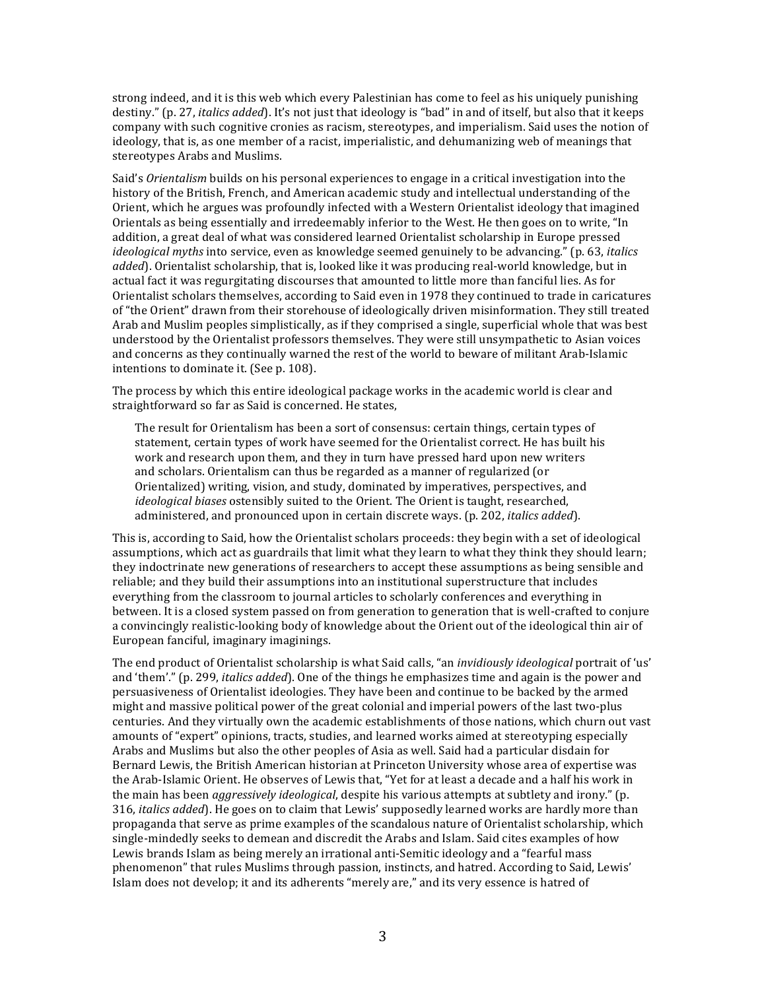strong indeed, and it is this web which every Palestinian has come to feel as his uniquely punishing destiny." (p. 27, *italics added*). It's not just that ideology is "bad" in and of itself, but also that it keeps company with such cognitive cronies as racism, stereotypes, and imperialism. Said uses the notion of ideology, that is, as one member of a racist, imperialistic, and dehumanizing web of meanings that stereotypes Arabs and Muslims.

Said's *Orientalism* builds on his personal experiences to engage in a critical investigation into the history of the British, French, and American academic study and intellectual understanding of the Orient, which he argues was profoundly infected with a Western Orientalist ideology that imagined Orientals as being essentially and irredeemably inferior to the West. He then goes on to write, "In addition, a great deal of what was considered learned Orientalist scholarship in Europe pressed *ideological myths* into service, even as knowledge seemed genuinely to be advancing." (p. 63, *italics added*). Orientalist scholarship, that is, looked like it was producing real-world knowledge, but in actual fact it was regurgitating discourses that amounted to little more than fanciful lies. As for Orientalist scholars themselves, according to Said even in 1978 they continued to trade in caricatures of "the Orient" drawn from their storehouse of ideologically driven misinformation. They still treated Arab and Muslim peoples simplistically, as if they comprised a single, superficial whole that was best understood by the Orientalist professors themselves. They were still unsympathetic to Asian voices and concerns as they continually warned the rest of the world to beware of militant Arab-Islamic intentions to dominate it. (See p. 108).

The process by which this entire ideological package works in the academic world is clear and straightforward so far as Said is concerned. He states,

The result for Orientalism has been a sort of consensus: certain things, certain types of statement, certain types of work have seemed for the Orientalist correct. He has built his work and research upon them, and they in turn have pressed hard upon new writers and scholars. Orientalism can thus be regarded as a manner of regularized (or Orientalized) writing, vision, and study, dominated by imperatives, perspectives, and *ideological biases* ostensibly suited to the Orient. The Orient is taught, researched, administered, and pronounced upon in certain discrete ways. (p. 202, *italics added*).

This is, according to Said, how the Orientalist scholars proceeds: they begin with a set of ideological assumptions, which act as guardrails that limit what they learn to what they think they should learn; they indoctrinate new generations of researchers to accept these assumptions as being sensible and reliable; and they build their assumptions into an institutional superstructure that includes everything from the classroom to journal articles to scholarly conferences and everything in between. It is a closed system passed on from generation to generation that is well-crafted to conjure a convincingly realistic-looking body of knowledge about the Orient out of the ideological thin air of European fanciful, imaginary imaginings.

The end product of Orientalist scholarship is what Said calls, "an *invidiously ideological* portrait of 'us' and 'them'." (p. 299, *italics added*). One of the things he emphasizes time and again is the power and persuasiveness of Orientalist ideologies. They have been and continue to be backed by the armed might and massive political power of the great colonial and imperial powers of the last two-plus centuries. And they virtually own the academic establishments of those nations, which churn out vast amounts of "expert" opinions, tracts, studies, and learned works aimed at stereotyping especially Arabs and Muslims but also the other peoples of Asia as well. Said had a particular disdain for Bernard Lewis, the British American historian at Princeton University whose area of expertise was the Arab-Islamic Orient. He observes of Lewis that, "Yet for at least a decade and a half his work in the main has been *aggressively ideological*, despite his various attempts at subtlety and irony." (p. 316, *italics added*). He goes on to claim that Lewis' supposedly learned works are hardly more than propaganda that serve as prime examples of the scandalous nature of Orientalist scholarship, which single-mindedly seeks to demean and discredit the Arabs and Islam. Said cites examples of how Lewis brands Islam as being merely an irrational anti-Semitic ideology and a "fearful mass phenomenon" that rules Muslims through passion, instincts, and hatred. According to Said, Lewis' Islam does not develop; it and its adherents "merely are," and its very essence is hatred of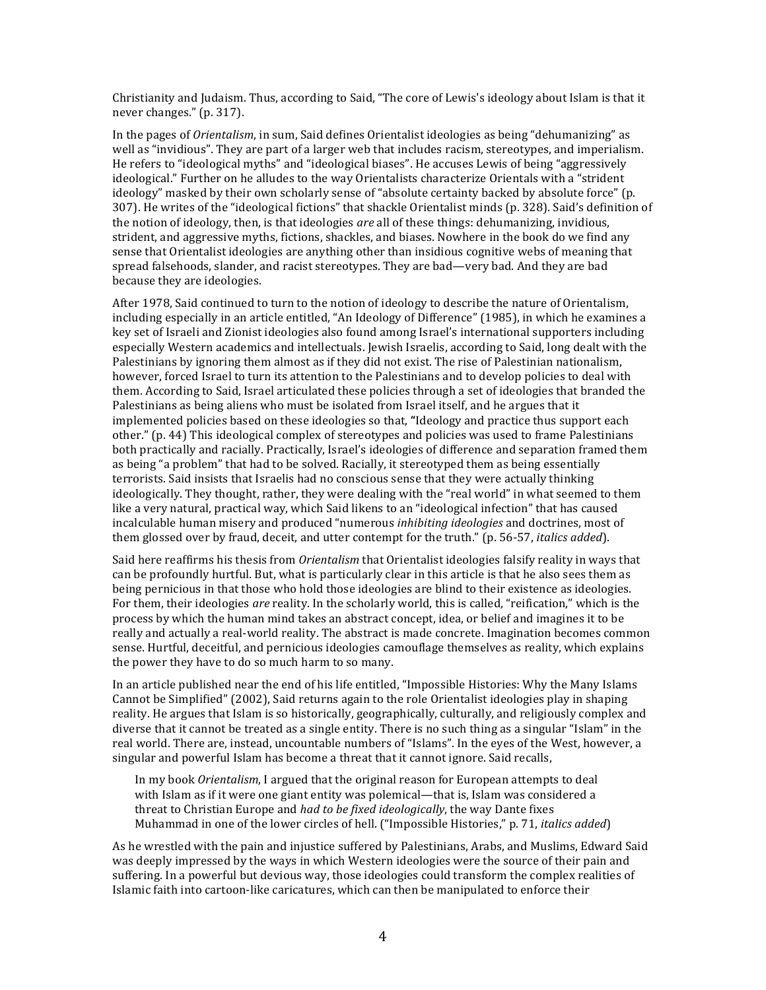Christianity and Judaism. Thus, according to Said, "The core of Lewis's ideology about Islam is that it never changes." (p. 317).

In the pages of *Orientalism*, in sum, Said defines Orientalist ideologies as being "dehumanizing" as well as "invidious". They are part of a larger web that includes racism, stereotypes, and imperialism. He refers to "ideological myths" and "ideological biases". He accuses Lewis of being "aggressively ideological." Further on he alludes to the way Orientalists characterize Orientals with a "strident ideology" masked by their own scholarly sense of "absolute certainty backed by absolute force" (p. 307). He writes of the "ideological fictions" that shackle Orientalist minds (p. 328). Said's definition of the notion of ideology, then, is that ideologies *are* all of these things: dehumanizing, invidious, strident, and aggressive myths, fictions, shackles, and biases. Nowhere in the book do we find any sense that Orientalist ideologies are anything other than insidious cognitive webs of meaning that spread falsehoods, slander, and racist stereotypes. They are bad—very bad. And they are bad because they are ideologies.

After 1978, Said continued to turn to the notion of ideology to describe the nature of Orientalism, including especially in an article entitled, "An Ideology of Difference" (1985), in which he examines a key set of Israeli and Zionist ideologies also found among Israel's international supporters including especially Western academics and intellectuals. Jewish Israelis, according to Said, long dealt with the Palestinians by ignoring them almost as if they did not exist. The rise of Palestinian nationalism, however, forced Israel to turn its attention to the Palestinians and to develop policies to deal with them. According to Said, Israel articulated these policies through a set of ideologies that branded the Palestinians as being aliens who must be isolated from Israel itself, and he argues that it implemented policies based on these ideologies so that, "Ideology and practice thus support each other." (p. 44) This ideological complex of stereotypes and policies was used to frame Palestinians both practically and racially. Practically, Israel's ideologies of difference and separation framed them as being "a problem" that had to be solved. Racially, it stereotyped them as being essentially terrorists. Said insists that Israelis had no conscious sense that they were actually thinking ideologically. They thought, rather, they were dealing with the "real world" in what seemed to them like a very natural, practical way, which Said likens to an "ideological infection" that has caused incalculable human misery and produced "numerous *inhibiting ideologies* and doctrines, most of them glossed over by fraud, deceit, and utter contempt for the truth." (p. 56-57, *italics added*).

Said here reaffirms his thesis from *Orientalism* that Orientalist ideologies falsify reality in ways that can be profoundly hurtful. But, what is particularly clear in this article is that he also sees them as being pernicious in that those who hold those ideologies are blind to their existence as ideologies. For them, their ideologies *are* reality. In the scholarly world, this is called, "reification," which is the process by which the human mind takes an abstract concept, idea, or belief and imagines it to be really and actually a real-world reality. The abstract is made concrete. Imagination becomes common sense. Hurtful, deceitful, and pernicious ideologies camouflage themselves as reality, which explains the power they have to do so much harm to so many.

In an article published near the end of his life entitled, "Impossible Histories: Why the Many Islams Cannot be Simplified" (2002), Said returns again to the role Orientalist ideologies play in shaping reality. He argues that Islam is so historically, geographically, culturally, and religiously complex and diverse that it cannot be treated as a single entity. There is no such thing as a singular "Islam" in the real world. There are, instead, uncountable numbers of "Islams". In the eyes of the West, however, a singular and powerful Islam has become a threat that it cannot ignore. Said recalls,

In my book *Orientalism*, I argued that the original reason for European attempts to deal with Islam as if it were one giant entity was polemical—that is, Islam was considered a threat to Christian Europe and *had to be fixed ideologically*, the way Dante fixes Muhammad in one of the lower circles of hell. ("Impossible Histories," p. 71, *italics added*)

As he wrestled with the pain and injustice suffered by Palestinians, Arabs, and Muslims, Edward Said was deeply impressed by the ways in which Western ideologies were the source of their pain and suffering. In a powerful but devious way, those ideologies could transform the complex realities of Islamic faith into cartoon-like caricatures, which can then be manipulated to enforce their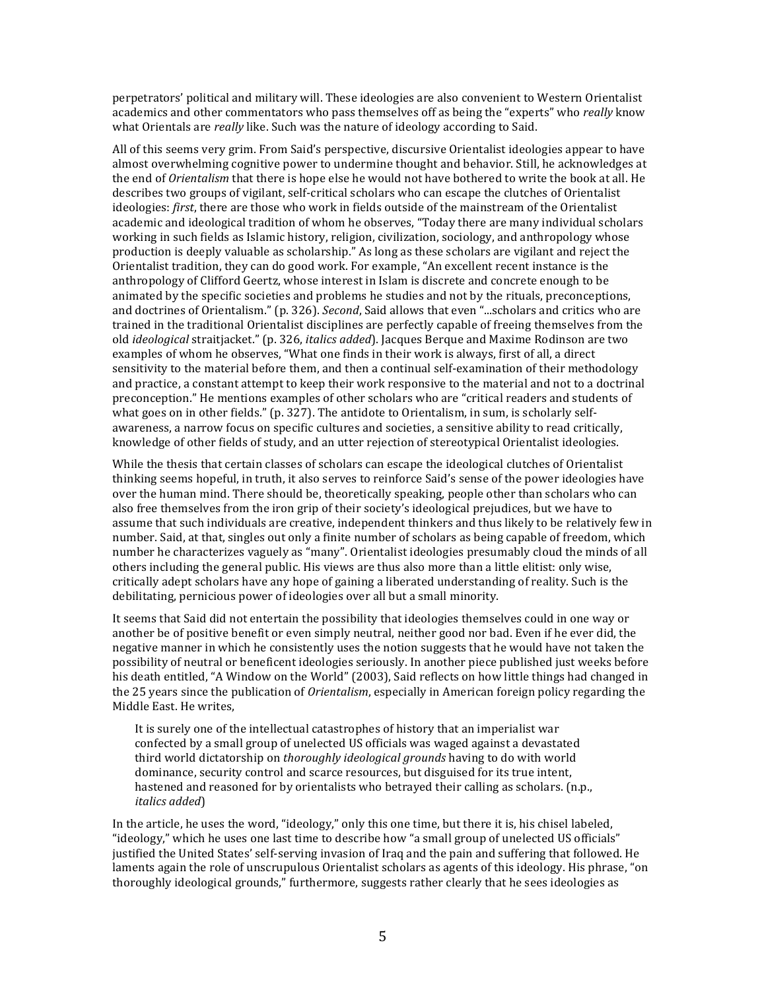perpetrators' political and military will. These ideologies are also convenient to Western Orientalist academics and other commentators who pass themselves off as being the "experts" who *really* know what Orientals are *really* like. Such was the nature of ideology according to Said.

All of this seems very grim. From Said's perspective, discursive Orientalist ideologies appear to have almost overwhelming cognitive power to undermine thought and behavior. Still, he acknowledges at the end of *Orientalism* that there is hope else he would not have bothered to write the book at all. He describes two groups of vigilant, self-critical scholars who can escape the clutches of Orientalist ideologies: *first*, there are those who work in fields outside of the mainstream of the Orientalist academic and ideological tradition of whom he observes, "Today there are many individual scholars working in such fields as Islamic history, religion, civilization, sociology, and anthropology whose production is deeply valuable as scholarship." As long as these scholars are vigilant and reject the Orientalist tradition, they can do good work. For example, "An excellent recent instance is the anthropology of Clifford Geertz, whose interest in Islam is discrete and concrete enough to be animated by the specific societies and problems he studies and not by the rituals, preconceptions, and doctrines of Orientalism." (p. 326). *Second*, Said allows that even "...scholars and critics who are trained in the traditional Orientalist disciplines are perfectly capable of freeing themselves from the old *ideological* straitjacket." (p. 326, *italics added*). Jacques Berque and Maxime Rodinson are two examples of whom he observes, "What one finds in their work is always, first of all, a direct sensitivity to the material before them, and then a continual self-examination of their methodology and practice, a constant attempt to keep their work responsive to the material and not to a doctrinal preconception." He mentions examples of other scholars who are "critical readers and students of what goes on in other fields." (p. 327). The antidote to Orientalism, in sum, is scholarly selfawareness, a narrow focus on specific cultures and societies, a sensitive ability to read critically, knowledge of other fields of study, and an utter rejection of stereotypical Orientalist ideologies.

While the thesis that certain classes of scholars can escape the ideological clutches of Orientalist thinking seems hopeful, in truth, it also serves to reinforce Said's sense of the power ideologies have over the human mind. There should be, theoretically speaking, people other than scholars who can also free themselves from the iron grip of their society's ideological prejudices, but we have to assume that such individuals are creative, independent thinkers and thus likely to be relatively few in number. Said, at that, singles out only a finite number of scholars as being capable of freedom, which number he characterizes vaguely as "many". Orientalist ideologies presumably cloud the minds of all others including the general public. His views are thus also more than a little elitist: only wise, critically adept scholars have any hope of gaining a liberated understanding of reality. Such is the debilitating, pernicious power of ideologies over all but a small minority.

It seems that Said did not entertain the possibility that ideologies themselves could in one way or another be of positive benefit or even simply neutral, neither good nor bad. Even if he ever did, the negative manner in which he consistently uses the notion suggests that he would have not taken the possibility of neutral or beneficent ideologies seriously. In another piece published just weeks before his death entitled, "A Window on the World" (2003), Said reflects on how little things had changed in the 25 years since the publication of *Orientalism*, especially in American foreign policy regarding the Middle East. He writes,

It is surely one of the intellectual catastrophes of history that an imperialist war confected by a small group of unelected US officials was waged against a devastated third world dictatorship on *thoroughly ideological grounds* having to do with world dominance, security control and scarce resources, but disguised for its true intent, hastened and reasoned for by orientalists who betrayed their calling as scholars. (n.p., *italics added*) 

In the article, he uses the word, "ideology," only this one time, but there it is, his chisel labeled, "ideology," which he uses one last time to describe how "a small group of unelected US officials" justified the United States' self-serving invasion of Iraq and the pain and suffering that followed. He laments again the role of unscrupulous Orientalist scholars as agents of this ideology. His phrase, "on thoroughly ideological grounds," furthermore, suggests rather clearly that he sees ideologies as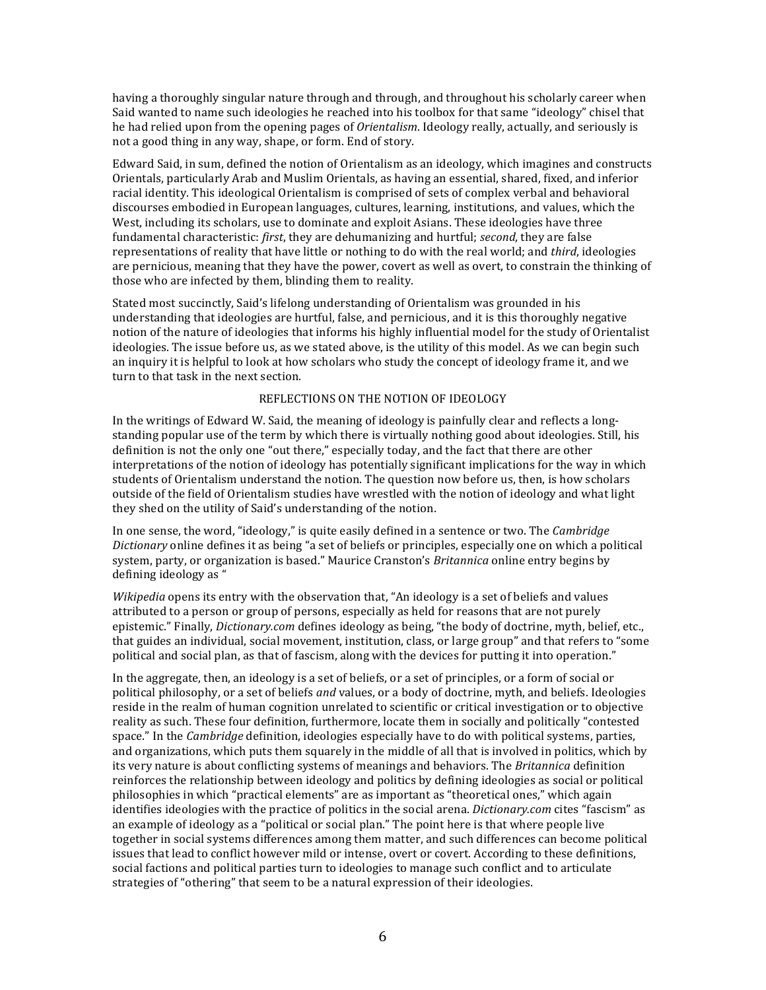having a thoroughly singular nature through and through, and throughout his scholarly career when Said wanted to name such ideologies he reached into his toolbox for that same "ideology" chisel that he had relied upon from the opening pages of *Orientalism*. Ideology really, actually, and seriously is not a good thing in any way, shape, or form. End of story.

Edward Said, in sum, defined the notion of Orientalism as an ideology, which imagines and constructs Orientals, particularly Arab and Muslim Orientals, as having an essential, shared, fixed, and inferior racial identity. This ideological Orientalism is comprised of sets of complex verbal and behavioral discourses embodied in European languages, cultures, learning, institutions, and values, which the West, including its scholars, use to dominate and exploit Asians. These ideologies have three fundamental characteristic: *first*, they are dehumanizing and hurtful; *second*, they are false representations of reality that have little or nothing to do with the real world; and *third*, ideologies are pernicious, meaning that they have the power, covert as well as overt, to constrain the thinking of those who are infected by them, blinding them to reality.

Stated most succinctly, Said's lifelong understanding of Orientalism was grounded in his understanding that ideologies are hurtful, false, and pernicious, and it is this thoroughly negative notion of the nature of ideologies that informs his highly influential model for the study of Orientalist ideologies. The issue before us, as we stated above, is the utility of this model. As we can begin such an inquiry it is helpful to look at how scholars who study the concept of ideology frame it, and we turn to that task in the next section.

### REFLECTIONS ON THE NOTION OF IDEOLOGY

In the writings of Edward W. Said, the meaning of ideology is painfully clear and reflects a longstanding popular use of the term by which there is virtually nothing good about ideologies. Still, his definition is not the only one "out there," especially today, and the fact that there are other interpretations of the notion of ideology has potentially significant implications for the way in which students of Orientalism understand the notion. The question now before us, then, is how scholars outside of the field of Orientalism studies have wrestled with the notion of ideology and what light they shed on the utility of Said's understanding of the notion.

In one sense, the word, "ideology," is quite easily defined in a sentence or two. The *Cambridge Dictionary* online defines it as being "a set of beliefs or principles, especially one on which a political system, party, or organization is based." Maurice Cranston's *Britannica* online entry begins by defining ideology as "

*Wikipedia* opens its entry with the observation that, "An ideology is a set of beliefs and values attributed to a person or group of persons, especially as held for reasons that are not purely epistemic." Finally, *Dictionary.com* defines ideology as being, "the body of doctrine, myth, belief, etc., that guides an individual, social movement, institution, class, or large group" and that refers to "some political and social plan, as that of fascism, along with the devices for putting it into operation."

In the aggregate, then, an ideology is a set of beliefs, or a set of principles, or a form of social or political philosophy, or a set of beliefs *and* values, or a body of doctrine, myth, and beliefs. Ideologies reside in the realm of human cognition unrelated to scientific or critical investigation or to objective reality as such. These four definition, furthermore, locate them in socially and politically "contested space." In the *Cambridge* definition, ideologies especially have to do with political systems, parties, and organizations, which puts them squarely in the middle of all that is involved in politics, which by its very nature is about conflicting systems of meanings and behaviors. The *Britannica* definition reinforces the relationship between ideology and politics by defining ideologies as social or political philosophies in which "practical elements" are as important as "theoretical ones," which again identifies ideologies with the practice of politics in the social arena. *Dictionary.com* cites "fascism" as an example of ideology as a "political or social plan." The point here is that where people live together in social systems differences among them matter, and such differences can become political issues that lead to conflict however mild or intense, overt or covert. According to these definitions, social factions and political parties turn to ideologies to manage such conflict and to articulate strategies of "othering" that seem to be a natural expression of their ideologies.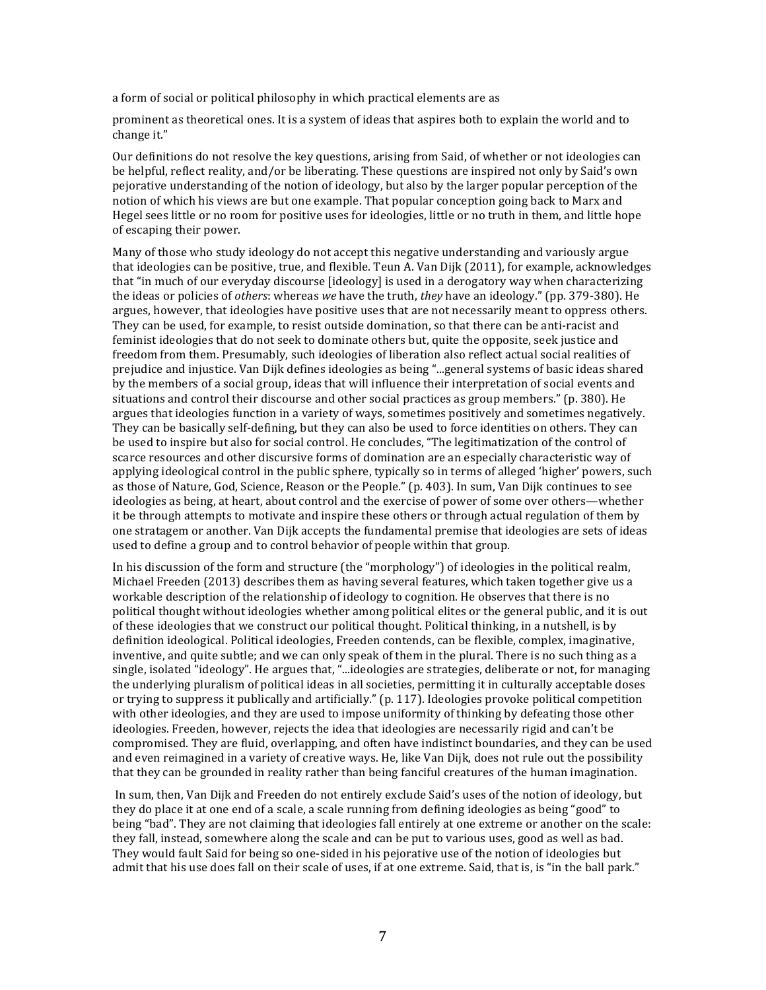a form of social or political philosophy in which practical elements are as

prominent as theoretical ones. It is a system of ideas that aspires both to explain the world and to change it."

Our definitions do not resolve the key questions, arising from Said, of whether or not ideologies can be helpful, reflect reality, and/or be liberating. These questions are inspired not only by Said's own pejorative understanding of the notion of ideology, but also by the larger popular perception of the notion of which his views are but one example. That popular conception going back to Marx and Hegel sees little or no room for positive uses for ideologies, little or no truth in them, and little hope of escaping their power.

Many of those who study ideology do not accept this negative understanding and variously argue that ideologies can be positive, true, and flexible. Teun A. Van Dijk (2011), for example, acknowledges that "in much of our everyday discourse [ideology] is used in a derogatory way when characterizing the ideas or policies of *others*: whereas we have the truth, *they* have an ideology." (pp. 379-380). He argues, however, that ideologies have positive uses that are not necessarily meant to oppress others. They can be used, for example, to resist outside domination, so that there can be anti-racist and feminist ideologies that do not seek to dominate others but, quite the opposite, seek justice and freedom from them. Presumably, such ideologies of liberation also reflect actual social realities of prejudice and injustice. Van Dijk defines ideologies as being "...general systems of basic ideas shared by the members of a social group, ideas that will influence their interpretation of social events and situations and control their discourse and other social practices as group members." (p. 380). He argues that ideologies function in a variety of ways, sometimes positively and sometimes negatively. They can be basically self-defining, but they can also be used to force identities on others. They can be used to inspire but also for social control. He concludes, "The legitimatization of the control of scarce resources and other discursive forms of domination are an especially characteristic way of applying ideological control in the public sphere, typically so in terms of alleged 'higher' powers, such as those of Nature, God, Science, Reason or the People." (p. 403). In sum, Van Dijk continues to see ideologies as being, at heart, about control and the exercise of power of some over others—whether it be through attempts to motivate and inspire these others or through actual regulation of them by one stratagem or another. Van Dijk accepts the fundamental premise that ideologies are sets of ideas used to define a group and to control behavior of people within that group.

In his discussion of the form and structure (the "morphology") of ideologies in the political realm, Michael Freeden (2013) describes them as having several features, which taken together give us a workable description of the relationship of ideology to cognition. He observes that there is no political thought without ideologies whether among political elites or the general public, and it is out of these ideologies that we construct our political thought. Political thinking, in a nutshell, is by definition ideological. Political ideologies, Freeden contends, can be flexible, complex, imaginative, inventive, and quite subtle; and we can only speak of them in the plural. There is no such thing as a single, isolated "ideology". He argues that, "...ideologies are strategies, deliberate or not, for managing the underlying pluralism of political ideas in all societies, permitting it in culturally acceptable doses or trying to suppress it publically and artificially." (p. 117). Ideologies provoke political competition with other ideologies, and they are used to impose uniformity of thinking by defeating those other ideologies. Freeden, however, rejects the idea that ideologies are necessarily rigid and can't be compromised. They are fluid, overlapping, and often have indistinct boundaries, and they can be used and even reimagined in a variety of creative ways. He, like Van Dijk, does not rule out the possibility that they can be grounded in reality rather than being fanciful creatures of the human imagination.

In sum, then, Van Dijk and Freeden do not entirely exclude Said's uses of the notion of ideology, but they do place it at one end of a scale, a scale running from defining ideologies as being "good" to being "bad". They are not claiming that ideologies fall entirely at one extreme or another on the scale: they fall, instead, somewhere along the scale and can be put to various uses, good as well as bad. They would fault Said for being so one-sided in his pejorative use of the notion of ideologies but admit that his use does fall on their scale of uses, if at one extreme. Said, that is, is "in the ball park."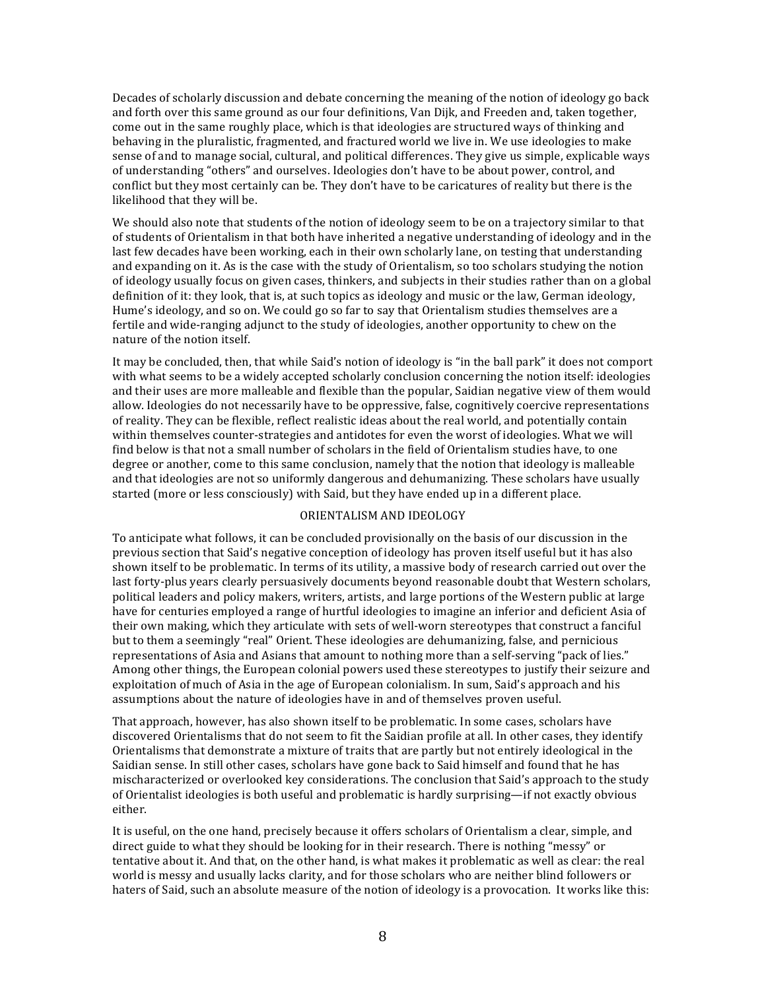Decades of scholarly discussion and debate concerning the meaning of the notion of ideology go back and forth over this same ground as our four definitions, Van Dijk, and Freeden and, taken together, come out in the same roughly place, which is that ideologies are structured ways of thinking and behaving in the pluralistic, fragmented, and fractured world we live in. We use ideologies to make sense of and to manage social, cultural, and political differences. They give us simple, explicable ways of understanding "others" and ourselves. Ideologies don't have to be about power, control, and conflict but they most certainly can be. They don't have to be caricatures of reality but there is the likelihood that they will be.

We should also note that students of the notion of ideology seem to be on a trajectory similar to that of students of Orientalism in that both have inherited a negative understanding of ideology and in the last few decades have been working, each in their own scholarly lane, on testing that understanding and expanding on it. As is the case with the study of Orientalism, so too scholars studying the notion of ideology usually focus on given cases, thinkers, and subjects in their studies rather than on a global definition of it: they look, that is, at such topics as ideology and music or the law, German ideology, Hume's ideology, and so on. We could go so far to say that Orientalism studies themselves are a fertile and wide-ranging adjunct to the study of ideologies, another opportunity to chew on the nature of the notion itself.

It may be concluded, then, that while Said's notion of ideology is "in the ball park" it does not comport with what seems to be a widely accepted scholarly conclusion concerning the notion itself: ideologies and their uses are more malleable and flexible than the popular, Saidian negative view of them would allow. Ideologies do not necessarily have to be oppressive, false, cognitively coercive representations of reality. They can be flexible, reflect realistic ideas about the real world, and potentially contain within themselves counter-strategies and antidotes for even the worst of ideologies. What we will find below is that not a small number of scholars in the field of Orientalism studies have, to one degree or another, come to this same conclusion, namely that the notion that ideology is malleable and that ideologies are not so uniformly dangerous and dehumanizing. These scholars have usually started (more or less consciously) with Said, but they have ended up in a different place.

## ORIENTALISM AND IDEOLOGY

To anticipate what follows, it can be concluded provisionally on the basis of our discussion in the previous section that Said's negative conception of ideology has proven itself useful but it has also shown itself to be problematic. In terms of its utility, a massive body of research carried out over the last forty-plus years clearly persuasively documents beyond reasonable doubt that Western scholars, political leaders and policy makers, writers, artists, and large portions of the Western public at large have for centuries employed a range of hurtful ideologies to imagine an inferior and deficient Asia of their own making, which they articulate with sets of well-worn stereotypes that construct a fanciful but to them a seemingly "real" Orient. These ideologies are dehumanizing, false, and pernicious representations of Asia and Asians that amount to nothing more than a self-serving "pack of lies." Among other things, the European colonial powers used these stereotypes to justify their seizure and exploitation of much of Asia in the age of European colonialism. In sum, Said's approach and his assumptions about the nature of ideologies have in and of themselves proven useful.

That approach, however, has also shown itself to be problematic. In some cases, scholars have discovered Orientalisms that do not seem to fit the Saidian profile at all. In other cases, they identify Orientalisms that demonstrate a mixture of traits that are partly but not entirely ideological in the Saidian sense. In still other cases, scholars have gone back to Said himself and found that he has mischaracterized or overlooked key considerations. The conclusion that Said's approach to the study of Orientalist ideologies is both useful and problematic is hardly surprising—if not exactly obvious either. 

It is useful, on the one hand, precisely because it offers scholars of Orientalism a clear, simple, and direct guide to what they should be looking for in their research. There is nothing "messy" or tentative about it. And that, on the other hand, is what makes it problematic as well as clear: the real world is messy and usually lacks clarity, and for those scholars who are neither blind followers or haters of Said, such an absolute measure of the notion of ideology is a provocation. It works like this: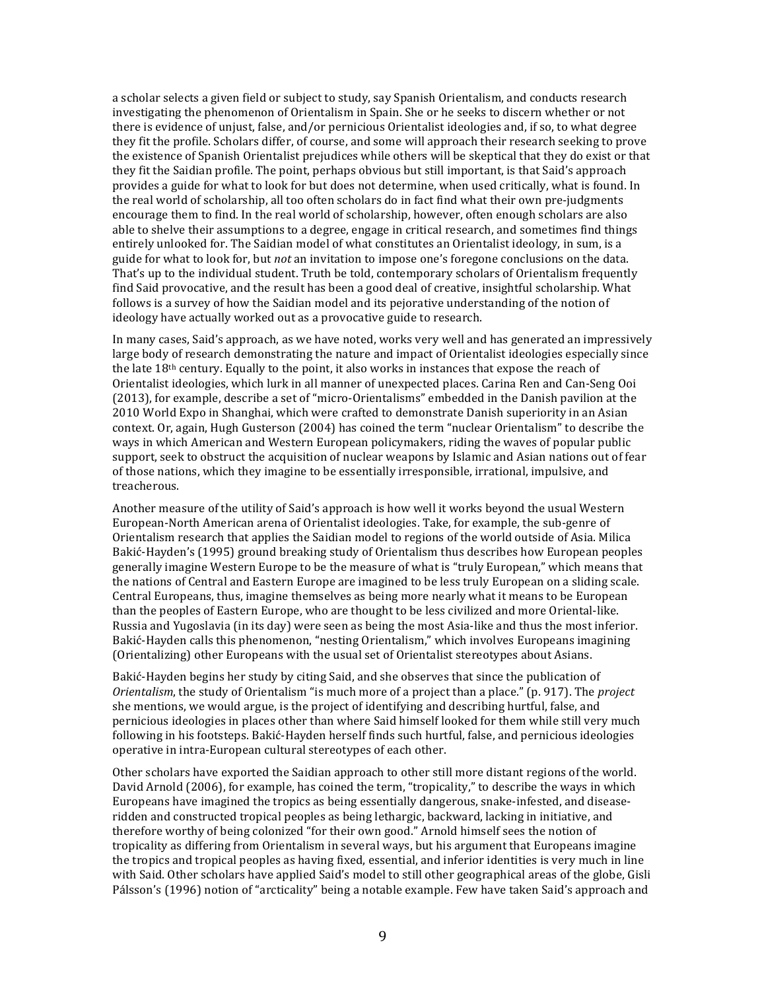a scholar selects a given field or subject to study, say Spanish Orientalism, and conducts research investigating the phenomenon of Orientalism in Spain. She or he seeks to discern whether or not there is evidence of unjust, false, and/or pernicious Orientalist ideologies and, if so, to what degree they fit the profile. Scholars differ, of course, and some will approach their research seeking to prove the existence of Spanish Orientalist prejudices while others will be skeptical that they do exist or that they fit the Saidian profile. The point, perhaps obvious but still important, is that Said's approach provides a guide for what to look for but does not determine, when used critically, what is found. In the real world of scholarship, all too often scholars do in fact find what their own pre-judgments encourage them to find. In the real world of scholarship, however, often enough scholars are also able to shelve their assumptions to a degree, engage in critical research, and sometimes find things entirely unlooked for. The Saidian model of what constitutes an Orientalist ideology, in sum, is a guide for what to look for, but *not* an invitation to impose one's foregone conclusions on the data. That's up to the individual student. Truth be told, contemporary scholars of Orientalism frequently find Said provocative, and the result has been a good deal of creative, insightful scholarship. What follows is a survey of how the Saidian model and its pejorative understanding of the notion of ideology have actually worked out as a provocative guide to research.

In many cases, Said's approach, as we have noted, works very well and has generated an impressively large body of research demonstrating the nature and impact of Orientalist ideologies especially since the late  $18<sup>th</sup>$  century. Equally to the point, it also works in instances that expose the reach of Orientalist ideologies, which lurk in all manner of unexpected places. Carina Ren and Can-Seng Ooi (2013), for example, describe a set of "micro-Orientalisms" embedded in the Danish pavilion at the 2010 World Expo in Shanghai, which were crafted to demonstrate Danish superiority in an Asian context. Or, again, Hugh Gusterson (2004) has coined the term "nuclear Orientalism" to describe the ways in which American and Western European policymakers, riding the wayes of popular public support, seek to obstruct the acquisition of nuclear weapons by Islamic and Asian nations out of fear of those nations, which they imagine to be essentially irresponsible, irrational, impulsive, and treacherous. 

Another measure of the utility of Said's approach is how well it works beyond the usual Western European-North American arena of Orientalist ideologies. Take, for example, the sub-genre of Orientalism research that applies the Saidian model to regions of the world outside of Asia. Milica Bakić-Hayden's (1995) ground breaking study of Orientalism thus describes how European peoples generally imagine Western Europe to be the measure of what is "truly European," which means that the nations of Central and Eastern Europe are imagined to be less truly European on a sliding scale. Central Europeans, thus, imagine themselves as being more nearly what it means to be European than the peoples of Eastern Europe, who are thought to be less civilized and more Oriental-like. Russia and Yugoslavia (in its day) were seen as being the most Asia-like and thus the most inferior. Bakić-Hayden calls this phenomenon, "nesting Orientalism," which involves Europeans imagining (Orientalizing) other Europeans with the usual set of Orientalist stereotypes about Asians.

Bakić-Hayden begins her study by citing Said, and she observes that since the publication of *Orientalism*, the study of Orientalism "is much more of a project than a place." (p. 917). The *project* she mentions, we would argue, is the project of identifying and describing hurtful, false, and pernicious ideologies in places other than where Said himself looked for them while still very much following in his footsteps. Bakić-Hayden herself finds such hurtful, false, and pernicious ideologies operative in intra-European cultural stereotypes of each other.

Other scholars have exported the Saidian approach to other still more distant regions of the world. David Arnold (2006), for example, has coined the term, "tropicality," to describe the ways in which Europeans have imagined the tropics as being essentially dangerous, snake-infested, and diseaseridden and constructed tropical peoples as being lethargic, backward, lacking in initiative, and therefore worthy of being colonized "for their own good." Arnold himself sees the notion of tropicality as differing from Orientalism in several ways, but his argument that Europeans imagine the tropics and tropical peoples as having fixed, essential, and inferior identities is very much in line with Said. Other scholars have applied Said's model to still other geographical areas of the globe, Gisli Pálsson's (1996) notion of "arcticality" being a notable example. Few have taken Said's approach and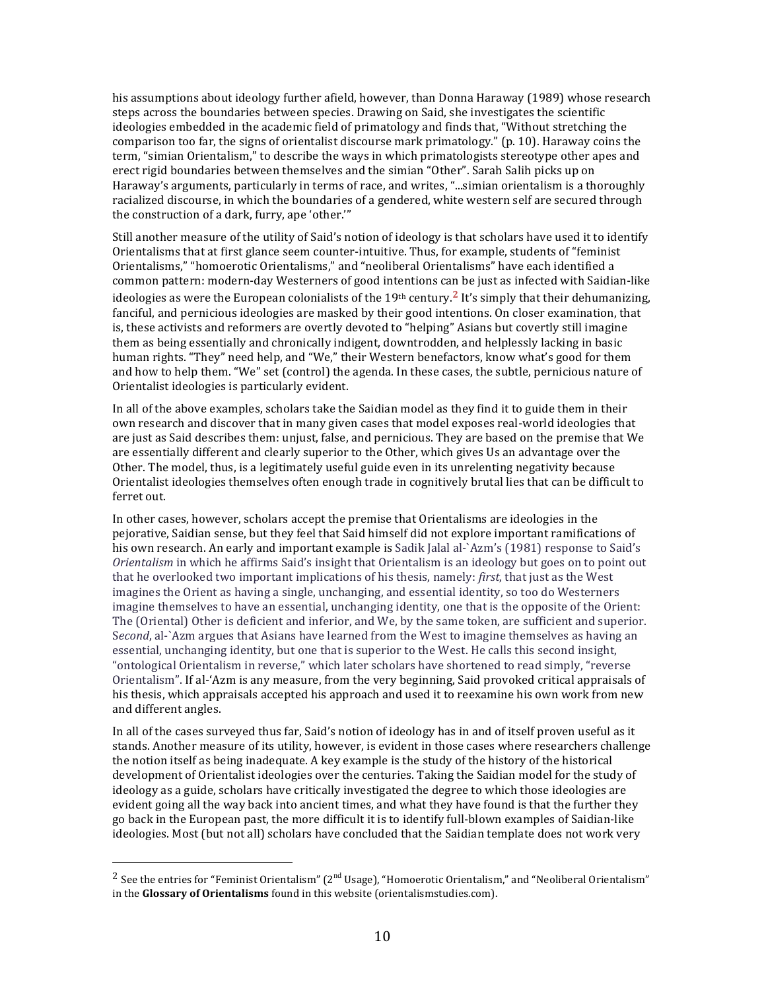his assumptions about ideology further afield, however, than Donna Haraway (1989) whose research steps across the boundaries between species. Drawing on Said, she investigates the scientific ideologies embedded in the academic field of primatology and finds that, "Without stretching the comparison too far, the signs of orientalist discourse mark primatology."  $(p. 10)$ . Haraway coins the term, "simian Orientalism," to describe the ways in which primatologists stereotype other apes and erect rigid boundaries between themselves and the simian "Other". Sarah Salih picks up on Haraway's arguments, particularly in terms of race, and writes, "...simian orientalism is a thoroughly racialized discourse, in which the boundaries of a gendered, white western self are secured through the construction of a dark, furry, ape 'other."

Still another measure of the utility of Said's notion of ideology is that scholars have used it to identify Orientalisms that at first glance seem counter-intuitive. Thus, for example, students of "feminist Orientalisms," "homoerotic Orientalisms," and "neoliberal Orientalisms" have each identified a common pattern: modern-day Westerners of good intentions can be just as infected with Saidian-like ideologies as were the European colonialists of the 19<sup>th</sup> century.<sup>2</sup> It's simply that their dehumanizing, fanciful, and pernicious ideologies are masked by their good intentions. On closer examination, that is, these activists and reformers are overtly devoted to "helping" Asians but covertly still imagine them as being essentially and chronically indigent, downtrodden, and helplessly lacking in basic human rights. "They" need help, and "We," their Western benefactors, know what's good for them and how to help them. "We" set (control) the agenda. In these cases, the subtle, pernicious nature of Orientalist ideologies is particularly evident.

In all of the above examples, scholars take the Saidian model as they find it to guide them in their own research and discover that in many given cases that model exposes real-world ideologies that are just as Said describes them: unjust, false, and pernicious. They are based on the premise that We are essentially different and clearly superior to the Other, which gives Us an advantage over the Other. The model, thus, is a legitimately useful guide even in its unrelenting negativity because Orientalist ideologies themselves often enough trade in cognitively brutal lies that can be difficult to ferret out.

In other cases, however, scholars accept the premise that Orientalisms are ideologies in the pejorative, Saidian sense, but they feel that Said himself did not explore important ramifications of his own research. An early and important example is Sadik Ialal al-`Azm's (1981) response to Said's *Orientalism* in which he affirms Said's insight that Orientalism is an ideology but goes on to point out that he overlooked two important implications of his thesis, namely: *first*, that just as the West imagines the Orient as having a single, unchanging, and essential identity, so too do Westerners imagine themselves to have an essential, unchanging identity, one that is the opposite of the Orient: The (Oriental) Other is deficient and inferior, and We, by the same token, are sufficient and superior. Second, al-`Azm argues that Asians have learned from the West to imagine themselves as having an essential, unchanging identity, but one that is superior to the West. He calls this second insight, "ontological Orientalism in reverse," which later scholars have shortened to read simply, "reverse Orientalism". If al-'Azm is any measure, from the very beginning, Said provoked critical appraisals of his thesis, which appraisals accepted his approach and used it to reexamine his own work from new and different angles.

In all of the cases surveyed thus far, Said's notion of ideology has in and of itself proven useful as it stands. Another measure of its utility, however, is evident in those cases where researchers challenge the notion itself as being inadequate. A key example is the study of the history of the historical development of Orientalist ideologies over the centuries. Taking the Saidian model for the study of ideology as a guide, scholars have critically investigated the degree to which those ideologies are evident going all the way back into ancient times, and what they have found is that the further they go back in the European past, the more difficult it is to identify full-blown examples of Saidian-like ideologies. Most (but not all) scholars have concluded that the Saidian template does not work very

<sup>&</sup>lt;sup>2</sup> See the entries for "Feminist Orientalism" ( $2<sup>nd</sup>$  Usage), "Homoerotic Orientalism," and "Neoliberal Orientalism" in the **Glossary of Orientalisms** found in this website (orientalismstudies.com).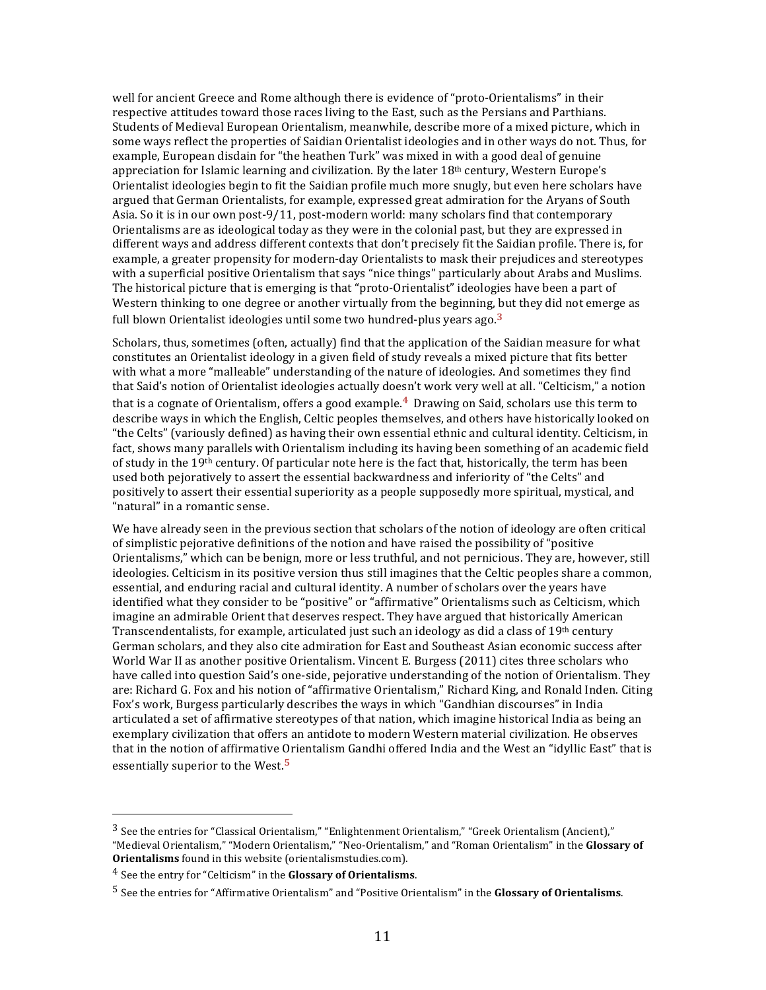well for ancient Greece and Rome although there is evidence of "proto-Orientalisms" in their respective attitudes toward those races living to the East, such as the Persians and Parthians. Students of Medieval European Orientalism, meanwhile, describe more of a mixed picture, which in some ways reflect the properties of Saidian Orientalist ideologies and in other ways do not. Thus, for example, European disdain for "the heathen Turk" was mixed in with a good deal of genuine appreciation for Islamic learning and civilization. By the later 18<sup>th</sup> century, Western Europe's Orientalist ideologies begin to fit the Saidian profile much more snugly, but even here scholars have argued that German Orientalists, for example, expressed great admiration for the Aryans of South Asia. So it is in our own post-9/11, post-modern world: many scholars find that contemporary Orientalisms are as ideological today as they were in the colonial past, but they are expressed in different ways and address different contexts that don't precisely fit the Saidian profile. There is, for example, a greater propensity for modern-day Orientalists to mask their prejudices and stereotypes with a superficial positive Orientalism that says "nice things" particularly about Arabs and Muslims. The historical picture that is emerging is that "proto-Orientalist" ideologies have been a part of Western thinking to one degree or another virtually from the beginning, but they did not emerge as full blown Orientalist ideologies until some two hundred-plus years ago.<sup>3</sup>

Scholars, thus, sometimes (often, actually) find that the application of the Saidian measure for what constitutes an Orientalist ideology in a given field of study reveals a mixed picture that fits better with what a more "malleable" understanding of the nature of ideologies. And sometimes they find that Said's notion of Orientalist ideologies actually doesn't work very well at all. "Celticism," a notion that is a cognate of Orientalism, offers a good example.<sup>4</sup> Drawing on Said, scholars use this term to describe ways in which the English, Celtic peoples themselves, and others have historically looked on "the Celts" (variously defined) as having their own essential ethnic and cultural identity. Celticism, in fact, shows many parallels with Orientalism including its having been something of an academic field of study in the 19<sup>th</sup> century. Of particular note here is the fact that, historically, the term has been used both pejoratively to assert the essential backwardness and inferiority of "the Celts" and positively to assert their essential superiority as a people supposedly more spiritual, mystical, and "natural" in a romantic sense.

We have already seen in the previous section that scholars of the notion of ideology are often critical of simplistic pejorative definitions of the notion and have raised the possibility of "positive Orientalisms," which can be benign, more or less truthful, and not pernicious. They are, however, still ideologies. Celticism in its positive version thus still imagines that the Celtic peoples share a common, essential, and enduring racial and cultural identity. A number of scholars over the vears have identified what they consider to be "positive" or "affirmative" Orientalisms such as Celticism, which imagine an admirable Orient that deserves respect. They have argued that historically American Transcendentalists, for example, articulated just such an ideology as did a class of  $19<sup>th</sup>$  century German scholars, and they also cite admiration for East and Southeast Asian economic success after World War II as another positive Orientalism. Vincent E. Burgess (2011) cites three scholars who have called into question Said's one-side, pejorative understanding of the notion of Orientalism. They are: Richard G. Fox and his notion of "affirmative Orientalism," Richard King, and Ronald Inden. Citing Fox's work, Burgess particularly describes the ways in which "Gandhian discourses" in India articulated a set of affirmative stereotypes of that nation, which imagine historical India as being an exemplary civilization that offers an antidote to modern Western material civilization. He observes that in the notion of affirmative Orientalism Gandhi offered India and the West an "idyllic East" that is essentially superior to the West.<sup>5</sup>

 $3$  See the entries for "Classical Orientalism," "Enlightenment Orientalism," "Greek Orientalism (Ancient)," "Medieval Orientalism," "Modern Orientalism," "Neo-Orientalism," and "Roman Orientalism" in the Glossary of Orientalisms found in this website (orientalismstudies.com).

<sup>&</sup>lt;sup>4</sup> See the entry for "Celticism" in the **Glossary of Orientalisms**.

<sup>&</sup>lt;sup>5</sup> See the entries for "Affirmative Orientalism" and "Positive Orientalism" in the **Glossary of Orientalisms**.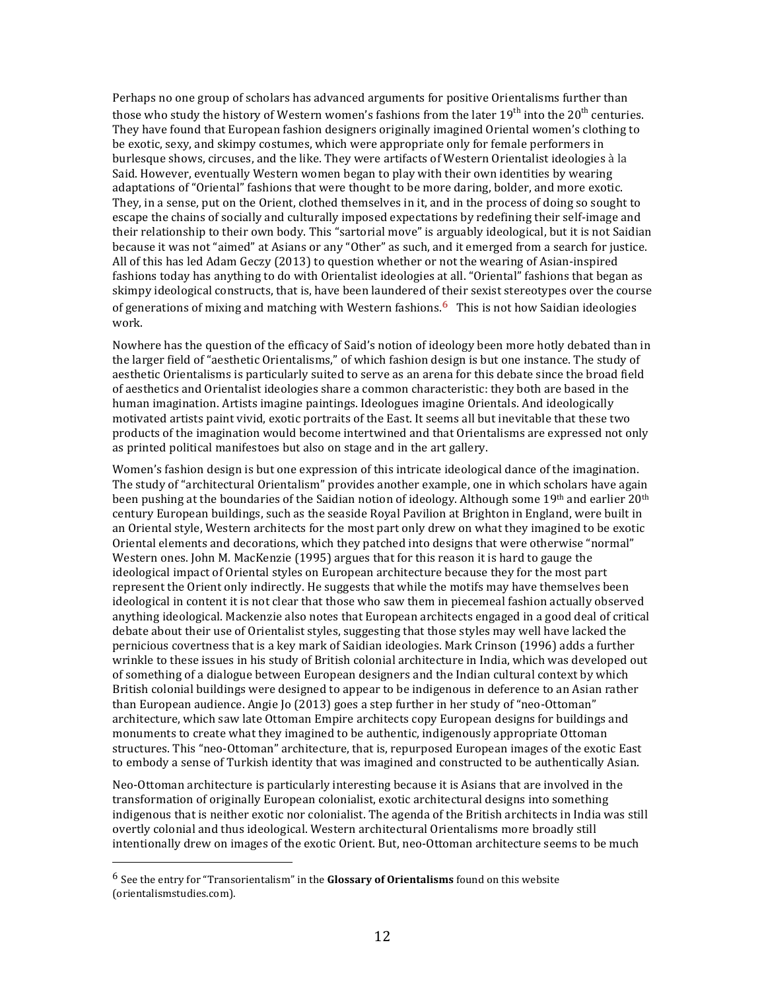Perhaps no one group of scholars has advanced arguments for positive Orientalisms further than those who study the history of Western women's fashions from the later  $19^{th}$  into the  $20^{th}$  centuries. They have found that European fashion designers originally imagined Oriental women's clothing to be exotic, sexy, and skimpy costumes, which were appropriate only for female performers in burlesque shows, circuses, and the like. They were artifacts of Western Orientalist ideologies à la Said. However, eventually Western women began to play with their own identities by wearing adaptations of "Oriental" fashions that were thought to be more daring, bolder, and more exotic. They, in a sense, put on the Orient, clothed themselves in it, and in the process of doing so sought to escape the chains of socially and culturally imposed expectations by redefining their self-image and their relationship to their own body. This "sartorial move" is arguably ideological, but it is not Saidian because it was not "aimed" at Asians or any "Other" as such, and it emerged from a search for justice. All of this has led Adam Geczy  $(2013)$  to question whether or not the wearing of Asian-inspired fashions today has anything to do with Orientalist ideologies at all. "Oriental" fashions that began as skimpy ideological constructs, that is, have been laundered of their sexist stereotypes over the course of generations of mixing and matching with Western fashions. <sup>6</sup> This is not how Saidian ideologies work. 

Nowhere has the question of the efficacy of Said's notion of ideology been more hotly debated than in the larger field of "aesthetic Orientalisms," of which fashion design is but one instance. The study of aesthetic Orientalisms is particularly suited to serve as an arena for this debate since the broad field of aesthetics and Orientalist ideologies share a common characteristic: they both are based in the human imagination. Artists imagine paintings. Ideologues imagine Orientals. And ideologically motivated artists paint vivid, exotic portraits of the East. It seems all but inevitable that these two products of the imagination would become intertwined and that Orientalisms are expressed not only as printed political manifestoes but also on stage and in the art gallery.

Women's fashion design is but one expression of this intricate ideological dance of the imagination. The study of "architectural Orientalism" provides another example, one in which scholars have again been pushing at the boundaries of the Saidian notion of ideology. Although some 19th and earlier  $20<sup>th</sup>$ century European buildings, such as the seaside Royal Pavilion at Brighton in England, were built in an Oriental style, Western architects for the most part only drew on what they imagined to be exotic Oriental elements and decorations, which they patched into designs that were otherwise "normal" Western ones. John M. MacKenzie (1995) argues that for this reason it is hard to gauge the ideological impact of Oriental styles on European architecture because they for the most part represent the Orient only indirectly. He suggests that while the motifs may have themselves been ideological in content it is not clear that those who saw them in piecemeal fashion actually observed anything ideological. Mackenzie also notes that European architects engaged in a good deal of critical debate about their use of Orientalist styles, suggesting that those styles may well have lacked the pernicious covertness that is a key mark of Saidian ideologies. Mark Crinson (1996) adds a further wrinkle to these issues in his study of British colonial architecture in India, which was developed out of something of a dialogue between European designers and the Indian cultural context by which British colonial buildings were designed to appear to be indigenous in deference to an Asian rather than European audience. Angie Jo (2013) goes a step further in her study of "neo-Ottoman" architecture, which saw late Ottoman Empire architects copy European designs for buildings and monuments to create what they imagined to be authentic, indigenously appropriate Ottoman structures. This "neo-Ottoman" architecture, that is, repurposed European images of the exotic East to embody a sense of Turkish identity that was imagined and constructed to be authentically Asian.

Neo-Ottoman architecture is particularly interesting because it is Asians that are involved in the transformation of originally European colonialist, exotic architectural designs into something indigenous that is neither exotic nor colonialist. The agenda of the British architects in India was still overtly colonial and thus ideological. Western architectural Orientalisms more broadly still intentionally drew on images of the exotic Orient. But, neo-Ottoman architecture seems to be much

<sup>&</sup>lt;sup>6</sup> See the entry for "Transorientalism" in the **Glossary of Orientalisms** found on this website (orientalismstudies.com).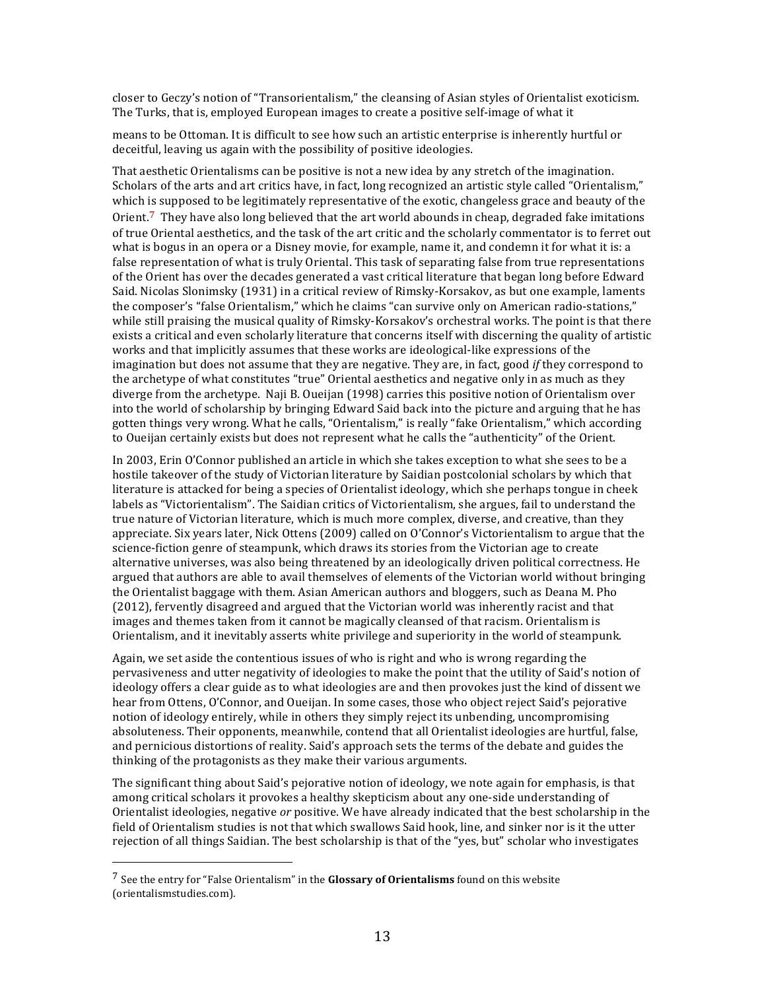closer to Geczy's notion of "Transorientalism," the cleansing of Asian styles of Orientalist exoticism. The Turks, that is, employed European images to create a positive self-image of what it

means to be Ottoman. It is difficult to see how such an artistic enterprise is inherently hurtful or deceitful, leaving us again with the possibility of positive ideologies.

That aesthetic Orientalisms can be positive is not a new idea by any stretch of the imagination. Scholars of the arts and art critics have, in fact, long recognized an artistic style called "Orientalism," which is supposed to be legitimately representative of the exotic, changeless grace and beauty of the Orient.<sup>7</sup> They have also long believed that the art world abounds in cheap, degraded fake imitations of true Oriental aesthetics, and the task of the art critic and the scholarly commentator is to ferret out what is bogus in an opera or a Disney movie, for example, name it, and condemn it for what it is: a false representation of what is truly Oriental. This task of separating false from true representations of the Orient has over the decades generated a vast critical literature that began long before Edward Said. Nicolas Slonimsky (1931) in a critical review of Rimsky-Korsakov, as but one example, laments the composer's "false Orientalism," which he claims "can survive only on American radio-stations," while still praising the musical quality of Rimsky-Korsakov's orchestral works. The point is that there exists a critical and even scholarly literature that concerns itself with discerning the quality of artistic works and that implicitly assumes that these works are ideological-like expressions of the imagination but does not assume that they are negative. They are, in fact, good *if* they correspond to the archetype of what constitutes "true" Oriental aesthetics and negative only in as much as they diverge from the archetype. Naji B. Queijan (1998) carries this positive notion of Orientalism over into the world of scholarship by bringing Edward Said back into the picture and arguing that he has gotten things very wrong. What he calls, "Orientalism," is really "fake Orientalism," which according to Oueijan certainly exists but does not represent what he calls the "authenticity" of the Orient.

In 2003, Erin O'Connor published an article in which she takes exception to what she sees to be a hostile takeover of the study of Victorian literature by Saidian postcolonial scholars by which that literature is attacked for being a species of Orientalist ideology, which she perhaps tongue in cheek labels as "Victorientalism". The Saidian critics of Victorientalism, she argues, fail to understand the true nature of Victorian literature, which is much more complex, diverse, and creative, than they appreciate. Six years later, Nick Ottens (2009) called on O'Connor's Victorientalism to argue that the science-fiction genre of steampunk, which draws its stories from the Victorian age to create alternative universes, was also being threatened by an ideologically driven political correctness. He argued that authors are able to avail themselves of elements of the Victorian world without bringing the Orientalist baggage with them. Asian American authors and bloggers, such as Deana M. Pho (2012), fervently disagreed and argued that the Victorian world was inherently racist and that images and themes taken from it cannot be magically cleansed of that racism. Orientalism is Orientalism, and it inevitably asserts white privilege and superiority in the world of steampunk.

Again, we set aside the contentious issues of who is right and who is wrong regarding the pervasiveness and utter negativity of ideologies to make the point that the utility of Said's notion of ideology offers a clear guide as to what ideologies are and then provokes just the kind of dissent we hear from Ottens, O'Connor, and Oueijan. In some cases, those who object reject Said's pejorative notion of ideology entirely, while in others they simply reject its unbending, uncompromising absoluteness. Their opponents, meanwhile, contend that all Orientalist ideologies are hurtful, false, and pernicious distortions of reality. Said's approach sets the terms of the debate and guides the thinking of the protagonists as they make their various arguments.

The significant thing about Said's pejorative notion of ideology, we note again for emphasis, is that among critical scholars it provokes a healthy skepticism about any one-side understanding of Orientalist ideologies, negative *or* positive. We have already indicated that the best scholarship in the field of Orientalism studies is not that which swallows Said hook, line, and sinker nor is it the utter rejection of all things Saidian. The best scholarship is that of the "yes, but" scholar who investigates

<sup>&</sup>lt;sup>7</sup> See the entry for "False Orientalism" in the **Glossary of Orientalisms** found on this website (orientalismstudies.com).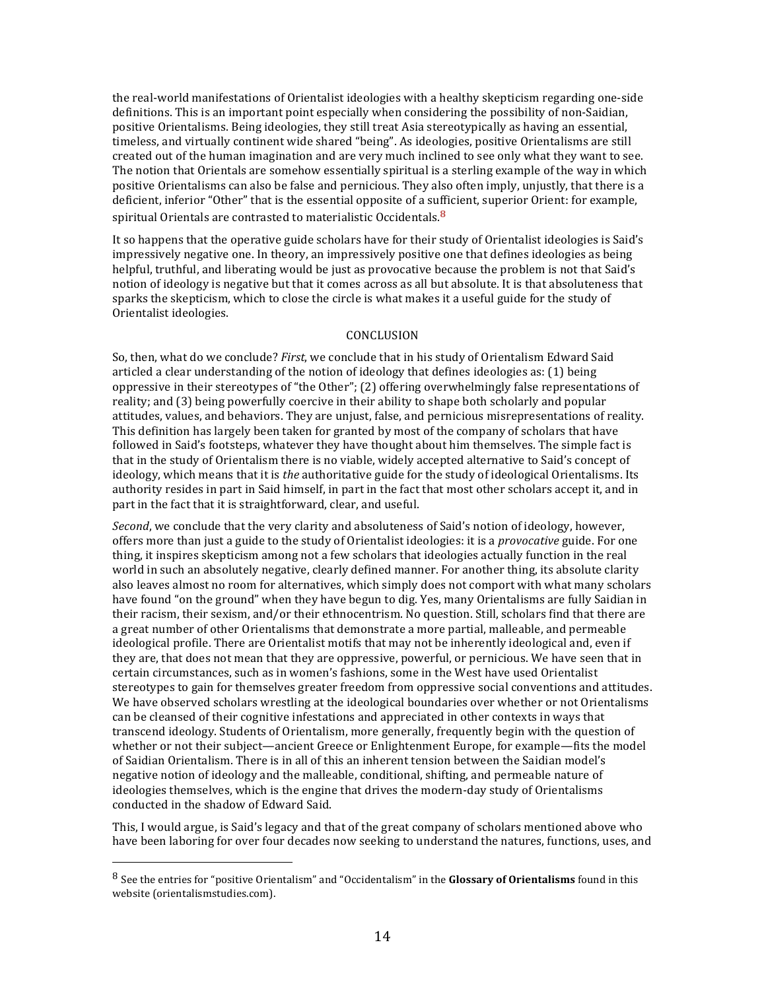the real-world manifestations of Orientalist ideologies with a healthy skepticism regarding one-side definitions. This is an important point especially when considering the possibility of non-Saidian, positive Orientalisms. Being ideologies, they still treat Asia stereotypically as having an essential, timeless, and virtually continent wide shared "being". As ideologies, positive Orientalisms are still created out of the human imagination and are very much inclined to see only what they want to see. The notion that Orientals are somehow essentially spiritual is a sterling example of the way in which positive Orientalisms can also be false and pernicious. They also often imply, unjustly, that there is a deficient, inferior "Other" that is the essential opposite of a sufficient, superior Orient: for example, spiritual Orientals are contrasted to materialistic Occidentals.**<sup>8</sup>**

It so happens that the operative guide scholars have for their study of Orientalist ideologies is Said's impressively negative one. In theory, an impressively positive one that defines ideologies as being helpful, truthful, and liberating would be just as provocative because the problem is not that Said's notion of ideology is negative but that it comes across as all but absolute. It is that absoluteness that sparks the skepticism, which to close the circle is what makes it a useful guide for the study of Orientalist ideologies.

### **CONCLUSION**

So, then, what do we conclude? *First*, we conclude that in his study of Orientalism Edward Said articled a clear understanding of the notion of ideology that defines ideologies as: (1) being oppressive in their stereotypes of "the Other";  $(2)$  offering overwhelmingly false representations of reality; and (3) being powerfully coercive in their ability to shape both scholarly and popular attitudes, values, and behaviors. They are unjust, false, and pernicious misrepresentations of reality. This definition has largely been taken for granted by most of the company of scholars that have followed in Said's footsteps, whatever they have thought about him themselves. The simple fact is that in the study of Orientalism there is no viable, widely accepted alternative to Said's concept of ideology, which means that it is *the* authoritative guide for the study of ideological Orientalisms. Its authority resides in part in Said himself, in part in the fact that most other scholars accept it, and in part in the fact that it is straightforward, clear, and useful.

*Second*, we conclude that the very clarity and absoluteness of Said's notion of ideology, however, offers more than just a guide to the study of Orientalist ideologies: it is a *provocative* guide. For one thing, it inspires skepticism among not a few scholars that ideologies actually function in the real world in such an absolutely negative, clearly defined manner. For another thing, its absolute clarity also leaves almost no room for alternatives, which simply does not comport with what many scholars have found "on the ground" when they have begun to dig. Yes, many Orientalisms are fully Saidian in their racism, their sexism, and/or their ethnocentrism. No question. Still, scholars find that there are a great number of other Orientalisms that demonstrate a more partial, malleable, and permeable ideological profile. There are Orientalist motifs that may not be inherently ideological and, even if they are, that does not mean that they are oppressive, powerful, or pernicious. We have seen that in certain circumstances, such as in women's fashions, some in the West have used Orientalist stereotypes to gain for themselves greater freedom from oppressive social conventions and attitudes. We have observed scholars wrestling at the ideological boundaries over whether or not Orientalisms can be cleansed of their cognitive infestations and appreciated in other contexts in ways that transcend ideology. Students of Orientalism, more generally, frequently begin with the question of whether or not their subject—ancient Greece or Enlightenment Europe, for example—fits the model of Saidian Orientalism. There is in all of this an inherent tension between the Saidian model's negative notion of ideology and the malleable, conditional, shifting, and permeable nature of ideologies themselves, which is the engine that drives the modern-day study of Orientalisms conducted in the shadow of Edward Said.

This, I would argue, is Said's legacy and that of the great company of scholars mentioned above who have been laboring for over four decades now seeking to understand the natures, functions, uses, and

<sup>&</sup>lt;sup>8</sup> See the entries for "positive Orientalism" and "Occidentalism" in the **Glossary of Orientalisms** found in this website (orientalismstudies.com).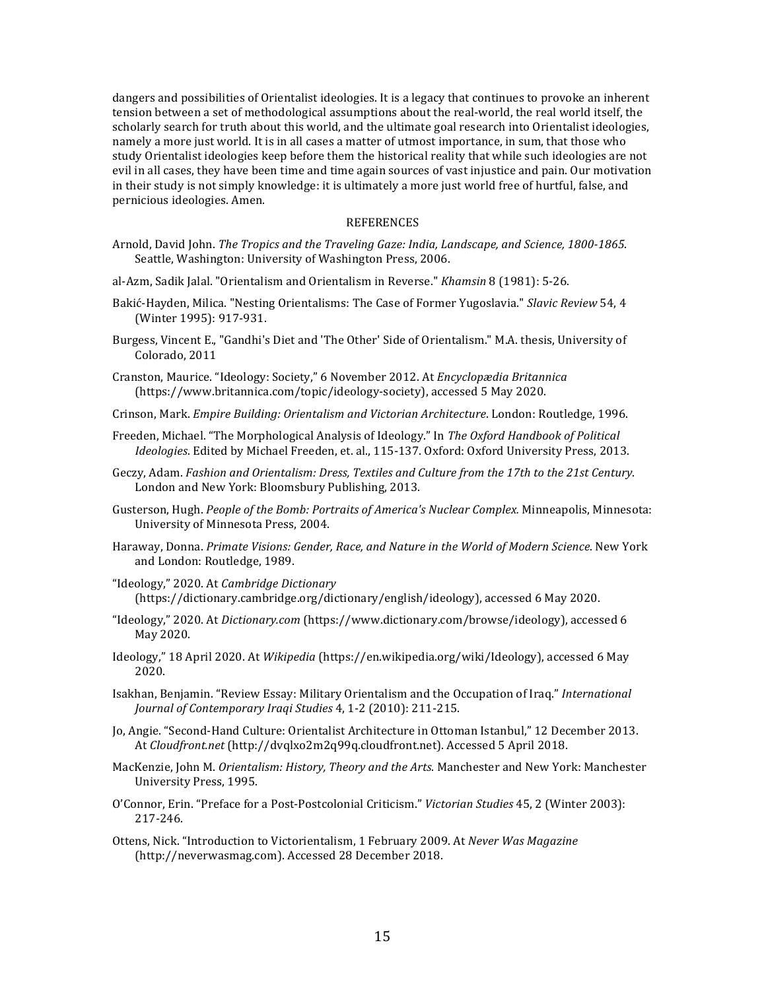dangers and possibilities of Orientalist ideologies. It is a legacy that continues to provoke an inherent tension between a set of methodological assumptions about the real-world, the real world itself, the scholarly search for truth about this world, and the ultimate goal research into Orientalist ideologies, namely a more just world. It is in all cases a matter of utmost importance, in sum, that those who study Orientalist ideologies keep before them the historical reality that while such ideologies are not evil in all cases, they have been time and time again sources of vast injustice and pain. Our motivation in their study is not simply knowledge: it is ultimately a more just world free of hurtful, false, and pernicious ideologies. Amen.

#### **REFERENCES**

- Arnold, David John. *The Tropics and the Traveling Gaze: India, Landscape, and Science, 1800-1865.* Seattle, Washington: University of Washington Press, 2006.
- al-Azm, Sadik Jalal. "Orientalism and Orientalism in Reverse." *Khamsin* 8 (1981): 5-26.
- Bakić-Hayden, Milica. "Nesting Orientalisms: The Case of Former Yugoslavia." Slavic Review 54, 4 (Winter 1995): 917-931.
- Burgess, Vincent E., "Gandhi's Diet and 'The Other' Side of Orientalism." M.A. thesis, University of Colorado, 2011
- Cranston, Maurice. "Ideology: Society," 6 November 2012. At *Encyclopædia Britannica* (https://www.britannica.com/topic/ideology-society), accessed 5 May 2020.
- Crinson, Mark. *Empire Building: Orientalism and Victorian Architecture*. London: Routledge, 1996.
- Freeden, Michael. "The Morphological Analysis of Ideology." In *The Oxford Handbook of Political Ideologies*. Edited by Michael Freeden, et. al., 115-137. Oxford: Oxford University Press, 2013.
- Geczy, Adam. *Fashion and Orientalism: Dress, Textiles and Culture from the 17th to the 21st Century.* London and New York: Bloomsbury Publishing, 2013.
- Gusterson, Hugh. *People of the Bomb: Portraits of America's Nuclear Complex.* Minneapolis, Minnesota: University of Minnesota Press, 2004.
- Haraway, Donna. *Primate Visions: Gender, Race, and Nature in the World of Modern Science*. New York and London: Routledge, 1989.
- "Ideology," 2020. At *Cambridge Dictionary*  (https://dictionary.cambridge.org/dictionary/english/ideology), accessed 6 May 2020.
- "Ideology," 2020. At *Dictionary.com* (https://www.dictionary.com/browse/ideology), accessed 6 May 2020.
- Ideology," 18 April 2020. At *Wikipedia* (https://en.wikipedia.org/wiki/Ideology), accessed 6 May 2020.
- Isakhan, Benjamin. "Review Essay: Military Orientalism and the Occupation of Iraq." *International Journal of Contemporary Iraqi Studies* 4, 1-2 (2010): 211-215.
- Jo, Angie. "Second-Hand Culture: Orientalist Architecture in Ottoman Istanbul," 12 December 2013. At *Cloudfront.net* (http://dvqlxo2m2q99q.cloudfront.net). Accessed 5 April 2018.
- MacKenzie, John M. *Orientalism: History, Theory and the Arts*. Manchester and New York: Manchester University Press, 1995.
- O'Connor, Erin. "Preface for a Post-Postcolonial Criticism." Victorian Studies 45, 2 (Winter 2003): 217-246.
- Ottens, Nick. "Introduction to Victorientalism, 1 February 2009. At *Never Was Magazine* (http://neverwasmag.com). Accessed 28 December 2018.